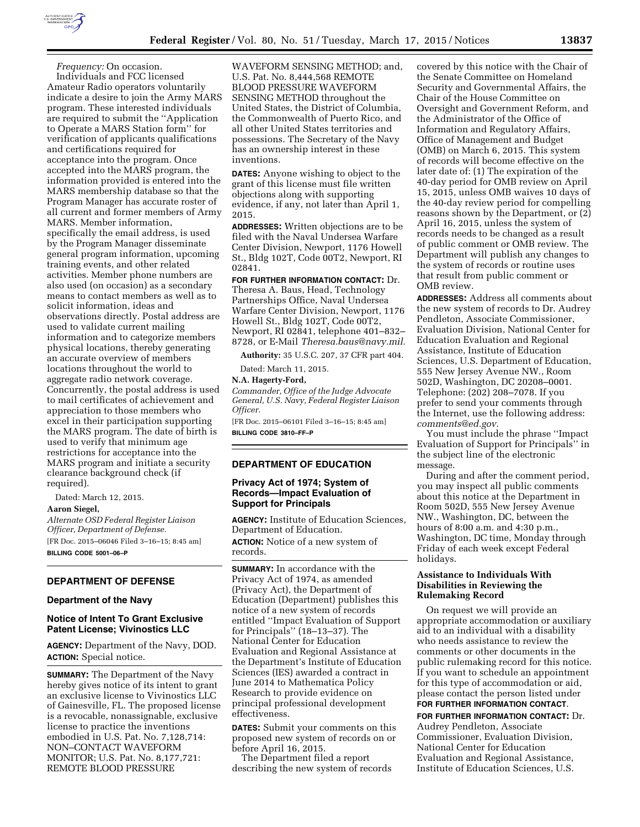

*Frequency:* On occasion. Individuals and FCC licensed Amateur Radio operators voluntarily indicate a desire to join the Army MARS program. These interested individuals are required to submit the ''Application to Operate a MARS Station form'' for verification of applicants qualifications and certifications required for acceptance into the program. Once accepted into the MARS program, the information provided is entered into the MARS membership database so that the Program Manager has accurate roster of all current and former members of Army MARS. Member information, specifically the email address, is used by the Program Manager disseminate general program information, upcoming training events, and other related activities. Member phone numbers are also used (on occasion) as a secondary means to contact members as well as to solicit information, ideas and observations directly. Postal address are used to validate current mailing information and to categorize members physical locations, thereby generating an accurate overview of members locations throughout the world to aggregate radio network coverage. Concurrently, the postal address is used to mail certificates of achievement and appreciation to those members who excel in their participation supporting the MARS program. The date of birth is used to verify that minimum age restrictions for acceptance into the MARS program and initiate a security clearance background check (if required).

Dated: March 12, 2015.

#### **Aaron Siegel,**

*Alternate OSD Federal Register Liaison Officer, Department of Defense.*  [FR Doc. 2015–06046 Filed 3–16–15; 8:45 am] **BILLING CODE 5001–06–P** 

## **DEPARTMENT OF DEFENSE**

#### **Department of the Navy**

## **Notice of Intent To Grant Exclusive Patent License; Vivinostics LLC**

**AGENCY:** Department of the Navy, DOD. **ACTION:** Special notice.

**SUMMARY:** The Department of the Navy hereby gives notice of its intent to grant an exclusive license to Vivinostics LLC of Gainesville, FL. The proposed license is a revocable, nonassignable, exclusive license to practice the inventions embodied in U.S. Pat. No. 7,128,714: NON–CONTACT WAVEFORM MONITOR; U.S. Pat. No. 8,177,721: REMOTE BLOOD PRESSURE

WAVEFORM SENSING METHOD; and, U.S. Pat. No. 8,444,568 REMOTE BLOOD PRESSURE WAVEFORM SENSING METHOD throughout the United States, the District of Columbia, the Commonwealth of Puerto Rico, and all other United States territories and possessions. The Secretary of the Navy has an ownership interest in these inventions.

**DATES:** Anyone wishing to object to the grant of this license must file written objections along with supporting evidence, if any, not later than April 1, 2015.

**ADDRESSES:** Written objections are to be filed with the Naval Undersea Warfare Center Division, Newport, 1176 Howell St., Bldg 102T, Code 00T2, Newport, RI 02841.

## **FOR FURTHER INFORMATION CONTACT:** Dr.

Theresa A. Baus, Head, Technology Partnerships Office, Naval Undersea Warfare Center Division, Newport, 1176 Howell St., Bldg 102T, Code 00T2, Newport, RI 02841, telephone 401–832– 8728, or E-Mail *[Theresa.baus@navy.mil.](mailto:Theresa.baus@navy.mil)* 

**Authority:** 35 U.S.C. 207, 37 CFR part 404.

Dated: March 11, 2015.

## **N.A. Hagerty-Ford,**

*Commander, Office of the Judge Advocate General, U.S. Navy, Federal Register Liaison Officer.* 

[FR Doc. 2015–06101 Filed 3–16–15; 8:45 am] **BILLING CODE 3810–FF–P** 

## **DEPARTMENT OF EDUCATION**

## **Privacy Act of 1974; System of Records—Impact Evaluation of Support for Principals**

**AGENCY:** Institute of Education Sciences, Department of Education. **ACTION:** Notice of a new system of records.

**SUMMARY:** In accordance with the Privacy Act of 1974, as amended (Privacy Act), the Department of Education (Department) publishes this notice of a new system of records entitled ''Impact Evaluation of Support for Principals'' (18–13–37). The National Center for Education Evaluation and Regional Assistance at the Department's Institute of Education Sciences (IES) awarded a contract in June 2014 to Mathematica Policy Research to provide evidence on principal professional development effectiveness.

**DATES:** Submit your comments on this proposed new system of records on or before April 16, 2015.

The Department filed a report describing the new system of records covered by this notice with the Chair of the Senate Committee on Homeland Security and Governmental Affairs, the Chair of the House Committee on Oversight and Government Reform, and the Administrator of the Office of Information and Regulatory Affairs, Office of Management and Budget (OMB) on March 6, 2015. This system of records will become effective on the later date of: (1) The expiration of the 40-day period for OMB review on April 15, 2015, unless OMB waives 10 days of the 40-day review period for compelling reasons shown by the Department, or (2) April 16, 2015, unless the system of records needs to be changed as a result of public comment or OMB review. The Department will publish any changes to the system of records or routine uses that result from public comment or OMB review.

**ADDRESSES:** Address all comments about the new system of records to Dr. Audrey Pendleton, Associate Commissioner, Evaluation Division, National Center for Education Evaluation and Regional Assistance, Institute of Education Sciences, U.S. Department of Education, 555 New Jersey Avenue NW., Room 502D, Washington, DC 20208–0001. Telephone: (202) 208–7078. If you prefer to send your comments through the Internet, use the following address: *[comments@ed.gov.](mailto:comments@ed.gov)* 

You must include the phrase ''Impact Evaluation of Support for Principals'' in the subject line of the electronic message.

During and after the comment period, you may inspect all public comments about this notice at the Department in Room 502D, 555 New Jersey Avenue NW., Washington, DC, between the hours of 8:00 a.m. and 4:30 p.m., Washington, DC time, Monday through Friday of each week except Federal holidays.

## **Assistance to Individuals With Disabilities in Reviewing the Rulemaking Record**

On request we will provide an appropriate accommodation or auxiliary aid to an individual with a disability who needs assistance to review the comments or other documents in the public rulemaking record for this notice. If you want to schedule an appointment for this type of accommodation or aid, please contact the person listed under **FOR FURTHER INFORMATION CONTACT**.

**FOR FURTHER INFORMATION CONTACT:** Dr. Audrey Pendleton, Associate Commissioner, Evaluation Division, National Center for Education Evaluation and Regional Assistance, Institute of Education Sciences, U.S.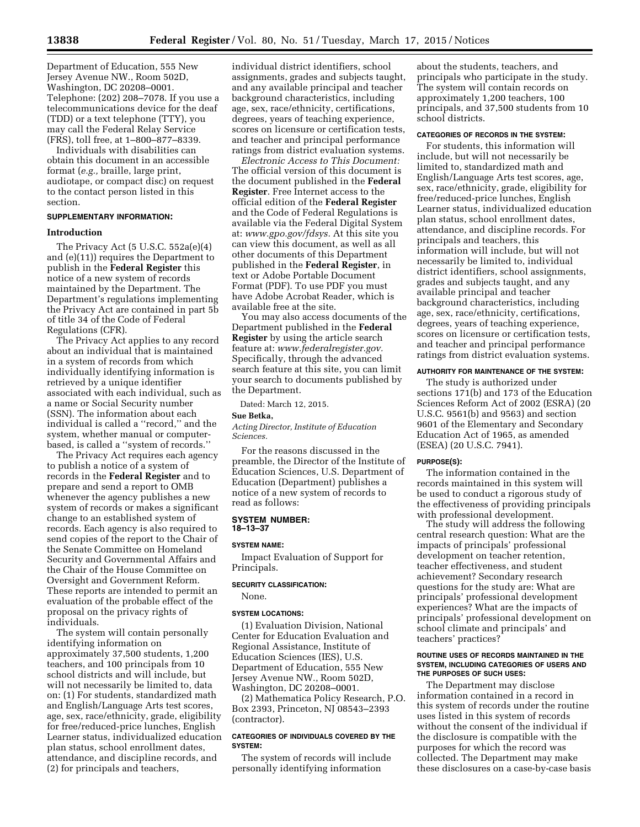Department of Education, 555 New Jersey Avenue NW., Room 502D, Washington, DC 20208–0001. Telephone: (202) 208–7078. If you use a telecommunications device for the deaf (TDD) or a text telephone (TTY), you may call the Federal Relay Service (FRS), toll free, at 1–800–877–8339.

Individuals with disabilities can obtain this document in an accessible format (*e.g.,* braille, large print, audiotape, or compact disc) on request to the contact person listed in this section.

## **SUPPLEMENTARY INFORMATION:**

#### **Introduction**

The Privacy Act (5 U.S.C. 552a(e)(4) and (e)(11)) requires the Department to publish in the **Federal Register** this notice of a new system of records maintained by the Department. The Department's regulations implementing the Privacy Act are contained in part 5b of title 34 of the Code of Federal Regulations (CFR).

The Privacy Act applies to any record about an individual that is maintained in a system of records from which individually identifying information is retrieved by a unique identifier associated with each individual, such as a name or Social Security number (SSN). The information about each individual is called a ''record,'' and the system, whether manual or computerbased, is called a ''system of records.''

The Privacy Act requires each agency to publish a notice of a system of records in the **Federal Register** and to prepare and send a report to OMB whenever the agency publishes a new system of records or makes a significant change to an established system of records. Each agency is also required to send copies of the report to the Chair of the Senate Committee on Homeland Security and Governmental Affairs and the Chair of the House Committee on Oversight and Government Reform. These reports are intended to permit an evaluation of the probable effect of the proposal on the privacy rights of individuals.

The system will contain personally identifying information on approximately 37,500 students, 1,200 teachers, and 100 principals from 10 school districts and will include, but will not necessarily be limited to, data on: (1) For students, standardized math and English/Language Arts test scores, age, sex, race/ethnicity, grade, eligibility for free/reduced-price lunches, English Learner status, individualized education plan status, school enrollment dates, attendance, and discipline records, and (2) for principals and teachers,

individual district identifiers, school assignments, grades and subjects taught, and any available principal and teacher background characteristics, including age, sex, race/ethnicity, certifications, degrees, years of teaching experience, scores on licensure or certification tests, and teacher and principal performance ratings from district evaluation systems.

*Electronic Access to This Document:*  The official version of this document is the document published in the **Federal Register**. Free Internet access to the official edition of the **Federal Register**  and the Code of Federal Regulations is available via the Federal Digital System at: *[www.gpo.gov/fdsys.](http://www.gpo.gov/fdsys)* At this site you can view this document, as well as all other documents of this Department published in the **Federal Register**, in text or Adobe Portable Document Format (PDF). To use PDF you must have Adobe Acrobat Reader, which is available free at the site.

You may also access documents of the Department published in the **Federal Register** by using the article search feature at: *[www.federalregister.gov.](http://www.federalregister.gov)*  Specifically, through the advanced search feature at this site, you can limit your search to documents published by the Department.

Dated: March 12, 2015.

#### **Sue Betka,**

*Acting Director, Institute of Education Sciences.* 

For the reasons discussed in the preamble, the Director of the Institute of Education Sciences, U.S. Department of Education (Department) publishes a notice of a new system of records to read as follows:

#### **SYSTEM NUMBER: 18–13–37**

#### **SYSTEM NAME:**

Impact Evaluation of Support for Principals.

# **SECURITY CLASSIFICATION:**

## None.

## **SYSTEM LOCATIONS:**

(1) Evaluation Division, National Center for Education Evaluation and Regional Assistance, Institute of Education Sciences (IES), U.S. Department of Education, 555 New Jersey Avenue NW., Room 502D, Washington, DC 20208–0001.

(2) Mathematica Policy Research, P.O. Box 2393, Princeton, NJ 08543–2393 (contractor).

## **CATEGORIES OF INDIVIDUALS COVERED BY THE SYSTEM:**

The system of records will include personally identifying information

about the students, teachers, and principals who participate in the study. The system will contain records on approximately 1,200 teachers, 100 principals, and 37,500 students from 10 school districts.

## **CATEGORIES OF RECORDS IN THE SYSTEM:**

For students, this information will include, but will not necessarily be limited to, standardized math and English/Language Arts test scores, age, sex, race/ethnicity, grade, eligibility for free/reduced-price lunches, English Learner status, individualized education plan status, school enrollment dates, attendance, and discipline records. For principals and teachers, this information will include, but will not necessarily be limited to, individual district identifiers, school assignments, grades and subjects taught, and any available principal and teacher background characteristics, including age, sex, race/ethnicity, certifications, degrees, years of teaching experience, scores on licensure or certification tests, and teacher and principal performance ratings from district evaluation systems.

## **AUTHORITY FOR MAINTENANCE OF THE SYSTEM:**

The study is authorized under sections 171(b) and 173 of the Education Sciences Reform Act of 2002 (ESRA) (20 U.S.C. 9561(b) and 9563) and section 9601 of the Elementary and Secondary Education Act of 1965, as amended (ESEA) (20 U.S.C. 7941).

#### **PURPOSE(S):**

The information contained in the records maintained in this system will be used to conduct a rigorous study of the effectiveness of providing principals with professional development.

The study will address the following central research question: What are the impacts of principals' professional development on teacher retention, teacher effectiveness, and student achievement? Secondary research questions for the study are: What are principals' professional development experiences? What are the impacts of principals' professional development on school climate and principals' and teachers' practices?

#### **ROUTINE USES OF RECORDS MAINTAINED IN THE SYSTEM, INCLUDING CATEGORIES OF USERS AND THE PURPOSES OF SUCH USES:**

The Department may disclose information contained in a record in this system of records under the routine uses listed in this system of records without the consent of the individual if the disclosure is compatible with the purposes for which the record was collected. The Department may make these disclosures on a case-by-case basis